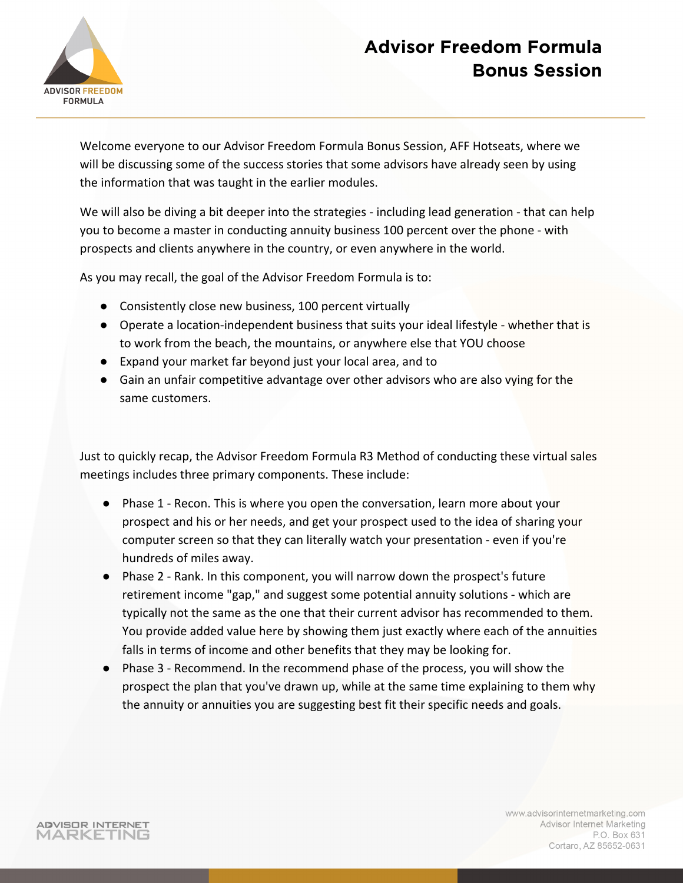

Welcome everyone to our Advisor Freedom Formula Bonus Session, AFF Hotseats, where we will be discussing some of the success stories that some advisors have already seen by using the information that was taught in the earlier modules.

We will also be diving a bit deeper into the strategies - including lead generation - that can help you to become a master in conducting annuity business 100 percent over the phone - with prospects and clients anywhere in the country, or even anywhere in the world.

As you may recall, the goal of the Advisor Freedom Formula is to:

- Consistently close new business, 100 percent virtually
- Operate a location-independent business that suits your ideal lifestyle whether that is to work from the beach, the mountains, or anywhere else that YOU choose
- Expand your market far beyond just your local area, and to
- Gain an unfair competitive advantage over other advisors who are also vying for the same customers.

Just to quickly recap, the Advisor Freedom Formula R3 Method of conducting these virtual sales meetings includes three primary components. These include:

- Phase 1 Recon. This is where you open the conversation, learn more about your prospect and his or her needs, and get your prospect used to the idea of sharing your computer screen so that they can literally watch your presentation - even if you're hundreds of miles away.
- Phase 2 Rank. In this component, you will narrow down the prospect's future retirement income "gap," and suggest some potential annuity solutions - which are typically not the same as the one that their current advisor has recommended to them. You provide added value here by showing them just exactly where each of the annuities falls in terms of income and other benefits that they may be looking for.
- Phase 3 Recommend. In the recommend phase of the process, you will show the prospect the plan that you've drawn up, while at the same time explaining to them why the annuity or annuities you are suggesting best fit their specific needs and goals.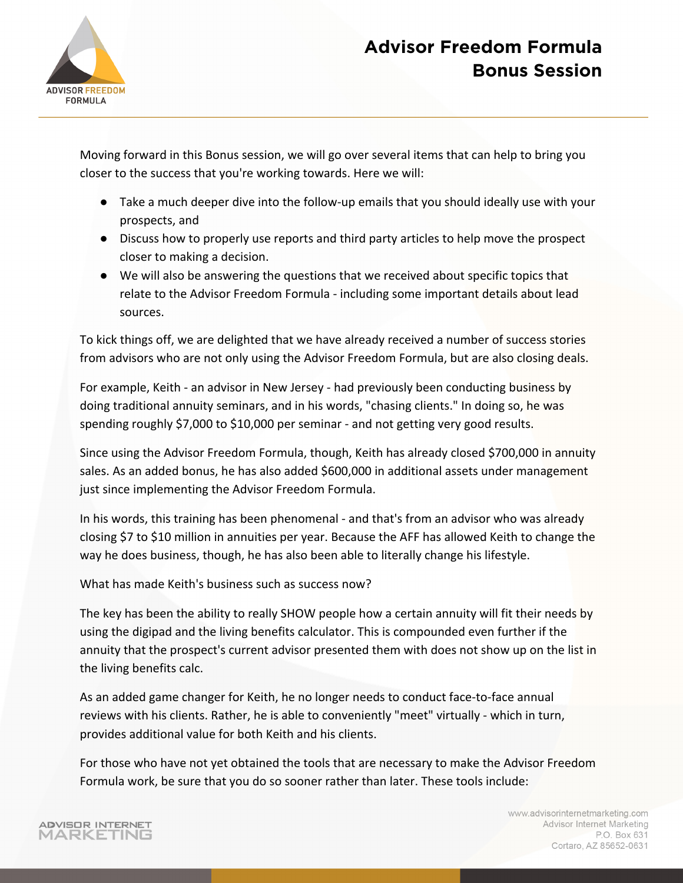

Moving forward in this Bonus session, we will go over several items that can help to bring you closer to the success that you're working towards. Here we will:

- Take a much deeper dive into the follow-up emails that you should ideally use with your prospects, and
- Discuss how to properly use reports and third party articles to help move the prospect closer to making a decision.
- We will also be answering the questions that we received about specific topics that relate to the Advisor Freedom Formula - including some important details about lead sources.

To kick things off, we are delighted that we have already received a number of success stories from advisors who are not only using the Advisor Freedom Formula, but are also closing deals.

For example, Keith - an advisor in New Jersey - had previously been conducting business by doing traditional annuity seminars, and in his words, "chasing clients." In doing so, he was spending roughly \$7,000 to \$10,000 per seminar - and not getting very good results.

Since using the Advisor Freedom Formula, though, Keith has already closed \$700,000 in annuity sales. As an added bonus, he has also added \$600,000 in additional assets under management just since implementing the Advisor Freedom Formula.

In his words, this training has been phenomenal - and that's from an advisor who was already closing \$7 to \$10 million in annuities per year. Because the AFF has allowed Keith to change the way he does business, though, he has also been able to literally change his lifestyle.

What has made Keith's business such as success now?

The key has been the ability to really SHOW people how a certain annuity will fit their needs by using the digipad and the living benefits calculator. This is compounded even further if the annuity that the prospect's current advisor presented them with does not show up on the list in the living benefits calc.

As an added game changer for Keith, he no longer needs to conduct face-to-face annual reviews with his clients. Rather, he is able to conveniently "meet" virtually - which in turn, provides additional value for both Keith and his clients.

For those who have not yet obtained the tools that are necessary to make the Advisor Freedom Formula work, be sure that you do so sooner rather than later. These tools include: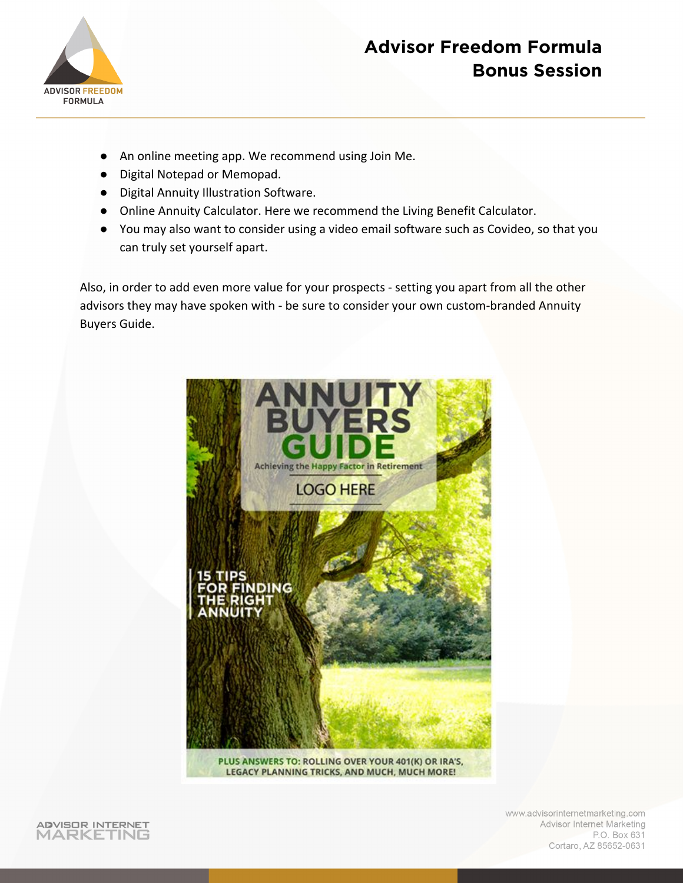

- An online meeting app. We recommend using Join Me.
- Digital Notepad or Memopad.
- Digital Annuity Illustration Software.
- Online Annuity Calculator. Here we recommend the Living Benefit Calculator.
- You may also want to consider using a video email software such as Covideo, so that you can truly set yourself apart.

Also, in order to add even more value for your prospects - setting you apart from all the other advisors they may have spoken with - be sure to consider your own custom-branded Annuity Buyers Guide.



PLUS ANSWERS TO: ROLLING OVER YOUR 401(K) OR IRA'S, LEGACY PLANNING TRICKS, AND MUCH, MUCH MORE!



www.advisorinternetmarketing.com Advisor Internet Marketing P.O. Box 631 Cortaro, AZ 85652-0631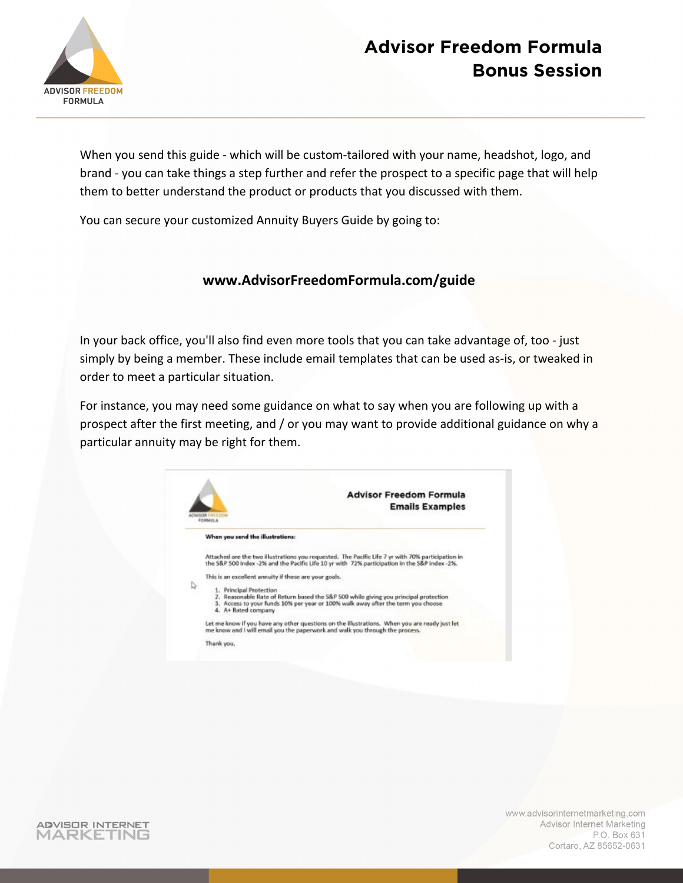

When you send this guide - which will be custom-tailored with your name, headshot, logo, and brand - you can take things a step further and refer the prospect to a specific page that will help them to better understand the product or products that you discussed with them.

You can secure your customized Annuity Buyers Guide by going to:

#### **www.AdvisorFreedomFormula.com/guide**

In your back office, you'll also find even more tools that you can take advantage of, too - just simply by being a member. These include email templates that can be used as-is, or tweaked in order to meet a particular situation.

For instance, you may need some guidance on what to say when you are following up with a prospect after the first meeting, and / or you may want to provide additional guidance on why a particular annuity may be right for them.

|   | <b>Advisor Freedom Formula</b>                                                                                                                                                                                             |  |  |  |  |
|---|----------------------------------------------------------------------------------------------------------------------------------------------------------------------------------------------------------------------------|--|--|--|--|
|   | <b>Emails Examples</b><br><b>SOR FRITTING</b><br>FORMULA                                                                                                                                                                   |  |  |  |  |
| D | When you send the illustrations:                                                                                                                                                                                           |  |  |  |  |
|   | Attached are the two illustrations you requested. The Pacific Life 7 yr with 70% participation in<br>the S&P 500 index -2% and the Pacific Life 10 yr with 72% participation in the S&P index -2%.                         |  |  |  |  |
|   | This is an excellent annuity if these are your goals.                                                                                                                                                                      |  |  |  |  |
|   | 1. Principal Protection<br>2. Reasonable Rate of Return based the S&P 500 while giving you principal protection<br>3. Access to your funds 10% per year or 100% walk away after the term you choose<br>4. A+ Rated company |  |  |  |  |
|   | Let me know if you have any other questions on the Elustrations. When you are ready just let<br>me know and I will email you the paperwork and walk you through the process.                                               |  |  |  |  |

ADVISOR INTERNET MARKETING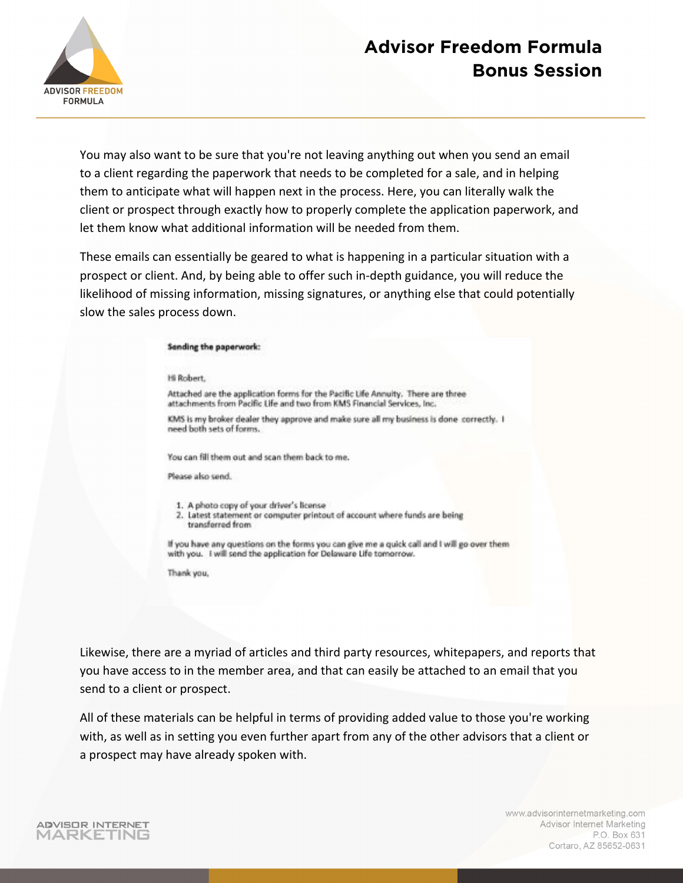

You may also want to be sure that you're not leaving anything out when you send an email to a client regarding the paperwork that needs to be completed for a sale, and in helping them to anticipate what will happen next in the process. Here, you can literally walk the client or prospect through exactly how to properly complete the application paperwork, and let them know what additional information will be needed from them.

These emails can essentially be geared to what is happening in a particular situation with a prospect or client. And, by being able to offer such in-depth guidance, you will reduce the likelihood of missing information, missing signatures, or anything else that could potentially slow the sales process down.

#### Sending the paperwork:

Hi Robert,

Attached are the application forms for the Pacific Life Annuity. There are three attachments from Pacific Life and two from KMS Financial Services, Inc.

KMS is my broker dealer they approve and make sure all my business is done correctly. I need both sets of forms.

You can fill them out and scan them back to me.

Please also send.

- 1. A photo copy of your driver's license
- 2. Latest statement or computer printout of account where funds are being transferred from

If you have any questions on the forms you can give me a quick call and I will go over them with you. I will send the application for Delaware Life tomorrow.

Thank you,

Likewise, there are a myriad of articles and third party resources, whitepapers, and reports that you have access to in the member area, and that can easily be attached to an email that you send to a client or prospect.

All of these materials can be helpful in terms of providing added value to those you're working with, as well as in setting you even further apart from any of the other advisors that a client or a prospect may have already spoken with.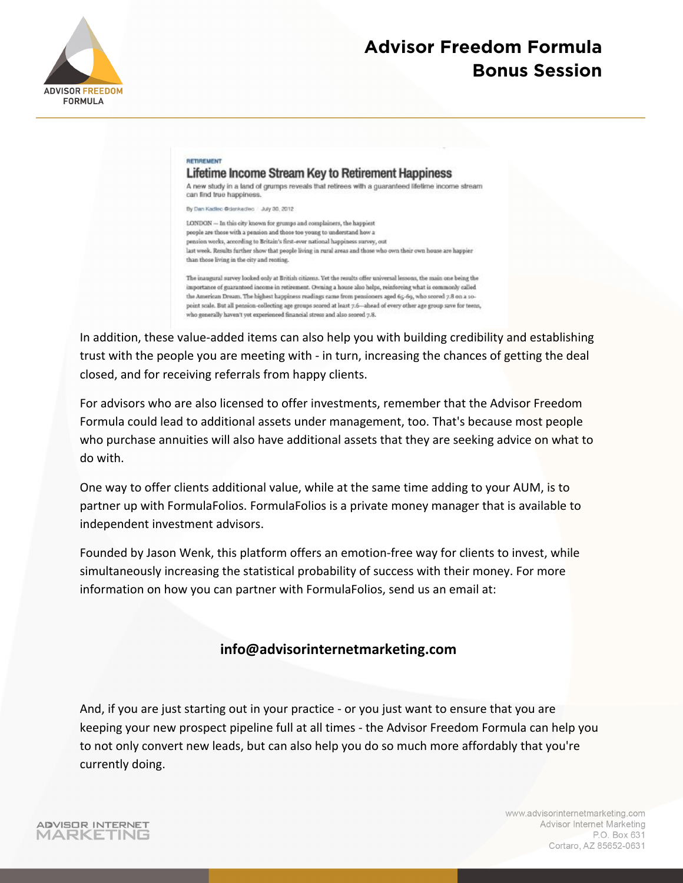

#### RETIREMENT Lifetime Income Stream Key to Retirement Happiness

A new study in a land of grumps reveals that retirees with a guaranteed lifetime income stream can find true happiness.

By Dan Kadlec @denkedleg 2 July 30, 2012

LONDON - In this city known for grumps and complainers, the happiest people are those with a pension and those too young to understand how a pension works, according to Britain's first-ever national happiness survey, out last week. Results further show that people living in rural areas and those who own their own house are happier than those living in the city and renting.

The inaugural survey looked only at British citizens. Yet the results offer universal lessons, the main one being the importance of guaranteed income in retirement. Owning a house also helps, reinforcing what is commonly called the American Dream. The highest happiness readings came from pensioners aged 65-69, who scored 7.8 on a 10point scale. But all pension-collecting age groups scored at least 7.6-ahead of every other age group save for teens, who generally haven't yet experienced financial stress and also scored 7.8.

In addition, these value-added items can also help you with building credibility and establishing trust with the people you are meeting with - in turn, increasing the chances of getting the deal closed, and for receiving referrals from happy clients.

For advisors who are also licensed to offer investments, remember that the Advisor Freedom Formula could lead to additional assets under management, too. That's because most people who purchase annuities will also have additional assets that they are seeking advice on what to do with.

One way to offer clients additional value, while at the same time adding to your AUM, is to partner up with FormulaFolios. FormulaFolios is a private money manager that is available to independent investment advisors.

Founded by Jason Wenk, this platform offers an emotion-free way for clients to invest, while simultaneously increasing the statistical probability of success with their money. For more information on how you can partner with FormulaFolios, send us an email at:

#### **info@advisorinternetmarketing.com**

And, if you are just starting out in your practice - or you just want to ensure that you are keeping your new prospect pipeline full at all times - the Advisor Freedom Formula can help you to not only convert new leads, but can also help you do so much more affordably that you're currently doing.

**ADVISOR INTERNET** MARKETING

www.advisorinternetmarketing.com **Advisor Internet Marketing** P.O. Box 631 Cortaro, AZ 85652-0631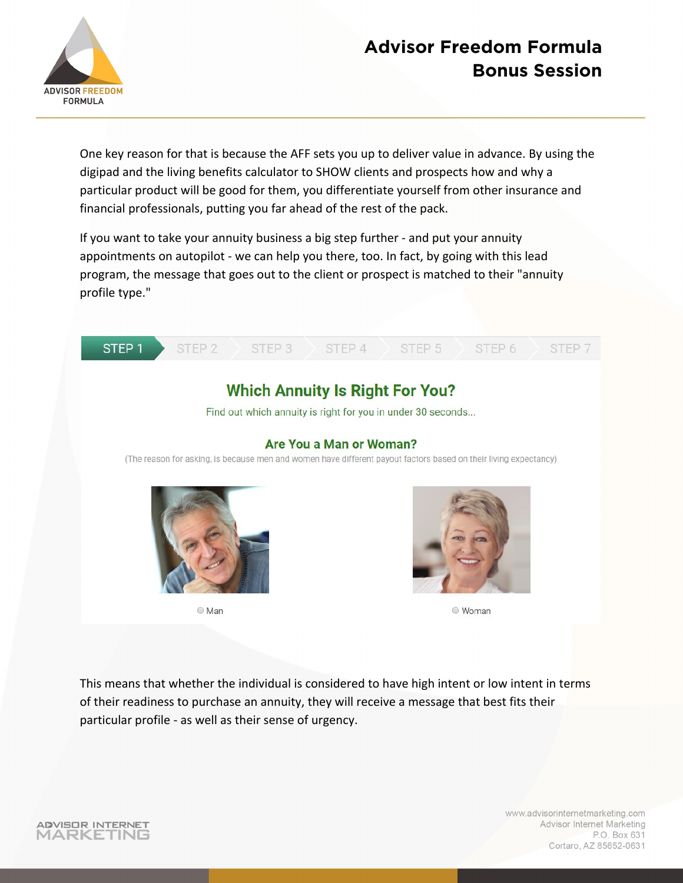

One key reason for that is because the AFF sets you up to deliver value in advance. By using the digipad and the living benefits calculator to SHOW clients and prospects how and why a particular product will be good for them, you differentiate yourself from other insurance and financial professionals, putting you far ahead of the rest of the pack.

If you want to take your annuity business a big step further - and put your annuity appointments on autopilot - we can help you there, too. In fact, by going with this lead program, the message that goes out to the client or prospect is matched to their "annuity profile type."



www.advisorinternetmarketing.com Advisor Internet Marketing P.O. Box 631 Cortaro, AZ 85652-0631

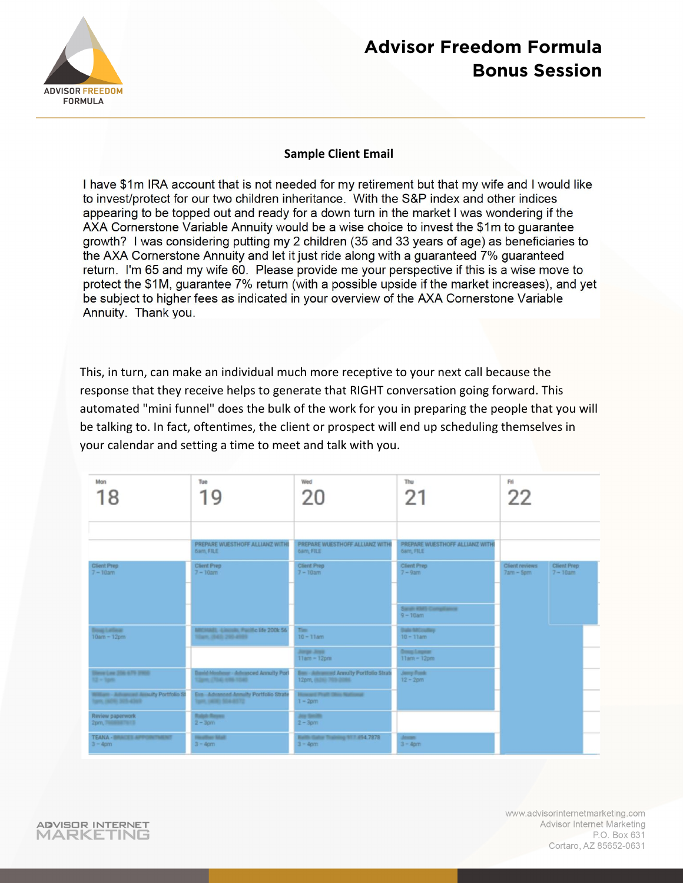

#### **Sample Client Email**

I have \$1m IRA account that is not needed for my retirement but that my wife and I would like to invest/protect for our two children inheritance. With the S&P index and other indices appearing to be topped out and ready for a down turn in the market I was wondering if the AXA Cornerstone Variable Annuity would be a wise choice to invest the \$1m to quarantee growth? I was considering putting my 2 children (35 and 33 years of age) as beneficiaries to the AXA Cornerstone Annuity and let it just ride along with a quaranteed 7% quaranteed return. I'm 65 and my wife 60. Please provide me your perspective if this is a wise move to protect the \$1M, quarantee 7% return (with a possible upside if the market increases), and yet be subject to higher fees as indicated in your overview of the AXA Cornerstone Variable Annuity. Thank you.

This, in turn, can make an individual much more receptive to your next call because the response that they receive helps to generate that RIGHT conversation going forward. This automated "mini funnel" does the bulk of the work for you in preparing the people that you will be talking to. In fact, oftentimes, the client or prospect will end up scheduling themselves in your calendar and setting a time to meet and talk with you.

| Mon<br>18                                                      | Tue<br>1 Q                                                                    | Wed<br>20                                                                | Thu<br>21                                    | Fri<br>22                                                          |
|----------------------------------------------------------------|-------------------------------------------------------------------------------|--------------------------------------------------------------------------|----------------------------------------------|--------------------------------------------------------------------|
|                                                                | PREPARE WUESTHOFF ALLIANZ WITHI<br>6am, FILE                                  | PREPARE WUESTHOFF ALLIANZ WITH<br>6am, FILE                              | PREPARE WUESTHOFF ALLIANZ WITHI<br>6am, FILE |                                                                    |
| <b>Client Prep</b><br>$7 - 10$ am                              | Client Prep<br>$7 - 10$ am                                                    | Client Prep<br>$7 - 10$ am                                               | Client Prep<br>$7 - 9am$                     | <b>Client Prep</b><br>Client reviews<br>$7am - 5om$<br>$7 - 10$ am |
|                                                                |                                                                               |                                                                          | Sarah KMS Compilance<br>$9 - 10$ am          |                                                                    |
| <b>Boog Latinac</b><br>$10am - 12pm$                           | MICHAEL -Lincoln; Pacific life 200k 56<br>10am; (645) 205-4989                | Tim.<br>$10 - 11$ am                                                     | Date MCculley<br>$10 - 11$ am                |                                                                    |
|                                                                |                                                                               | Jurge Jose<br>$11am - 12pm$                                              | Doney Largest<br>$11am - 12pm$               |                                                                    |
| Sheve Low 208 679 3900<br>$12 \times 10^{46}$                  | <b>Basic Meabour - Advanced Annuity Port</b><br><b>Clare, (70.0) 498-1040</b> | <b>Base Automobil Annuity Portfolio Strate</b><br>12pm, (62ki) 703-2086. | Jerry Ford:<br>$12 - 2 \text{pm}$            |                                                                    |
| William Adviseced Autority Portfolio St<br>Sam, (60% 305-4365) | Eua Advanced Annuity Portfolio Strate<br>Tom, 14061 504-8572                  | Howard Phatt Ohio National<br>$1 - 2$ pm                                 |                                              |                                                                    |
| Review paperwork<br>2pm, 7008987613                            | <b>Robot Research</b><br>$2 - 3$ om                                           | <b>Joy Smith</b><br>$2 - 3$ pm                                           |                                              |                                                                    |
| <b>TEANA - BRACES APPOINTMENT</b><br>$3 - 4$ pm                | <b>Haalfour Mail</b><br>$3 - 4$ pm                                            | <b>Rights Galler Training 917 #94.7878</b><br>$3 - 4$ pm                 | Annae 1<br>$3 - 4$ pm                        |                                                                    |